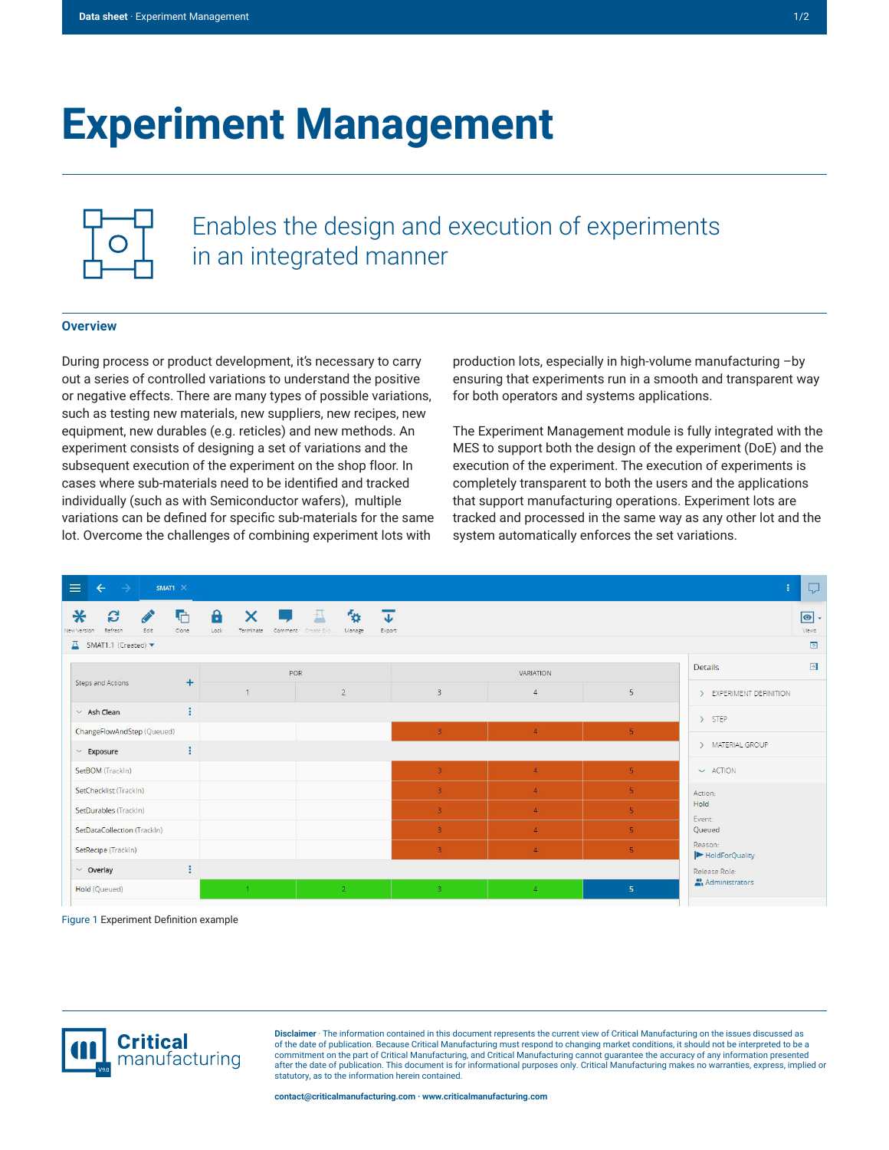# **Experiment Management**



Enables the design and execution of experiments in an integrated manner

## **Overview**

During process or product development, it's necessary to carry out a series of controlled variations to understand the positive or negative effects. There are many types of possible variations, such as testing new materials, new suppliers, new recipes, new equipment, new durables (e.g. reticles) and new methods. An experiment consists of designing a set of variations and the subsequent execution of the experiment on the shop floor. In cases where sub-materials need to be identified and tracked individually (such as with Semiconductor wafers), multiple variations can be defined for specific sub-materials for the same lot. Overcome the challenges of combining experiment lots with

production lots, especially in high-volume manufacturing –by ensuring that experiments run in a smooth and transparent way for both operators and systems applications.

The Experiment Management module is fully integrated with the MES to support both the design of the experiment (DoE) and the execution of the experiment. The execution of experiments is completely transparent to both the users and the applications that support manufacturing operations. Experiment lots are tracked and processed in the same way as any other lot and the system automatically enforces the set variations.



Figure 1 Experiment Definition example



**Disclaimer** · The information contained in this document represents the current view of Critical Manufacturing on the issues discussed as of the date of publication. Because Critical Manufacturing must respond to changing market conditions, it should not be interpreted to be a commitment on the part of Critical Manufacturing, and Critical Manufacturing cannot guarantee the accuracy of any information presented after the date of publication. This document is for informational purposes only. Critical Manufacturing makes no warranties, express, implied or statutory, as to the information herein contained.